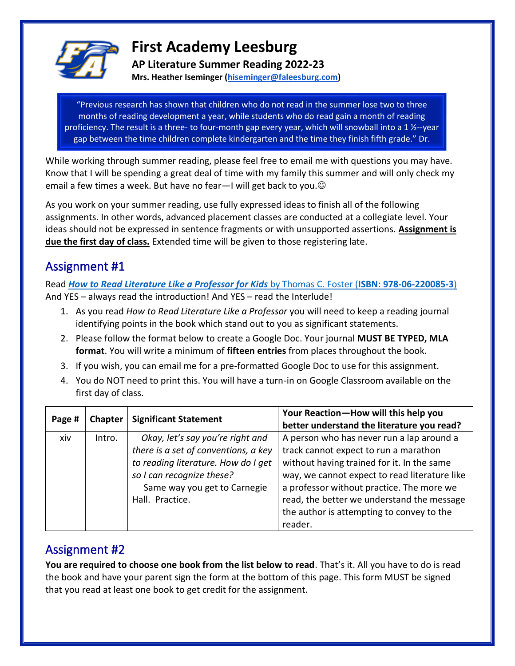

## **First Academy Leesburg**

**AP Literature Summer Reading 2022-23**

**Mrs. Heather Iseminger [\(hiseminger@faleesburg.com\)](mailto:hiseminger@faleesburg.com)**

"Previous research has shown that children who do not read in the summer lose two to three months of reading development a year, while students who do read gain a month of reading proficiency. The result is a three- to four-month gap every year, which will snowball into a 1  $\frac{1}{2}$ --year gap between the time children complete kindergarten and the time they finish fifth grade." Dr.

While working through summer reading, please feel free to email me with questions you may have. Know that I will be spending a great deal of time with my family this summer and will only check my email a few times a week. But have no fear—I will get back to you. $\odot$ Richard L. Allington

As you work on your summer reading, use fully expressed ideas to finish all of the following assignments. In other words, advanced placement classes are conducted at a collegiate level. Your ideas should not be expressed in sentence fragments or with unsupported assertions. **Assignment is due the first day of class.** Extended time will be given to those registering late.

## Assignment #1

Read *[How to Read Literature Like a Professor](https://www.amazon.com/How-Read-Literature-Like-Professor/dp/0062200852/ref=sr_1_1?crid=23GMAY2JW578M&keywords=how+to+read+literature+like+a+professor+for+kids&qid=1652204964&sprefix=how+to+read+literature+like+a+professor%2Caps%2C185&sr=8-1) for Kids* by Thomas C. Foster (**ISBN: 978-06-220085-3**) And YES – always read the introduction! And YES – read the Interlude!

- 1. As you read *How to Read Literature Like a Professor* you will need to keep a reading journal identifying points in the book which stand out to you as significant statements.
- 2. Please follow the format below to create a Google Doc. Your journal **MUST BE TYPED, MLA format**. You will write a minimum of **fifteen entries** from places throughout the book.
- 3. If you wish, you can email me for a pre-formatted Google Doc to use for this assignment.
- 4. You do NOT need to print this. You will have a turn-in on Google Classroom available on the first day of class.

| Page # | <b>Chapter</b> | <b>Significant Statement</b>                                                                                                                                                                    | Your Reaction-How will this help you<br>better understand the literature you read?                                                                                                                                                                                                                                                   |
|--------|----------------|-------------------------------------------------------------------------------------------------------------------------------------------------------------------------------------------------|--------------------------------------------------------------------------------------------------------------------------------------------------------------------------------------------------------------------------------------------------------------------------------------------------------------------------------------|
| xiv    | Intro.         | Okay, let's say you're right and<br>there is a set of conventions, a key<br>to reading literature. How do I get<br>so I can recognize these?<br>Same way you get to Carnegie<br>Hall. Practice. | A person who has never run a lap around a<br>track cannot expect to run a marathon<br>without having trained for it. In the same<br>way, we cannot expect to read literature like<br>a professor without practice. The more we<br>read, the better we understand the message<br>the author is attempting to convey to the<br>reader. |

## Assignment #2

**You are required to choose one book from the list below to read**. That's it. All you have to do is read the book and have your parent sign the form at the bottom of this page. This form MUST be signed that you read at least one book to get credit for the assignment.